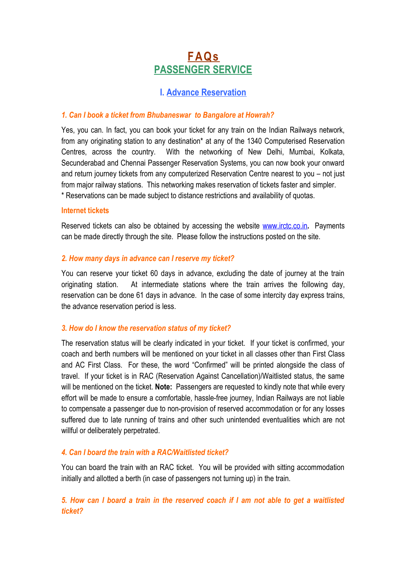# **FAQs PASSENGER SERVICE**

# **I. Advance Reservation**

## *1. Can I book a ticket from Bhubaneswar to Bangalore at Howrah?*

Yes, you can. In fact, you can book your ticket for any train on the Indian Railways network, from any originating station to any destination\* at any of the 1340 Computerised Reservation Centres, across the country. With the networking of New Delhi, Mumbai, Kolkata, Secunderabad and Chennai Passenger Reservation Systems, you can now book your onward and return journey tickets from any computerized Reservation Centre nearest to you – not just from major railway stations. This networking makes reservation of tickets faster and simpler. \* Reservations can be made subject to distance restrictions and availability of quotas.

#### **Internet tickets**

Reserved tickets can also be obtained by accessing the website [www.irctc.co.in](http://www.irctc.co.in/)**.** Payments can be made directly through the site. Please follow the instructions posted on the site.

#### *2. How many days in advance can I reserve my ticket?*

You can reserve your ticket 60 days in advance, excluding the date of journey at the train originating station. At intermediate stations where the train arrives the following day, reservation can be done 61 days in advance. In the case of some intercity day express trains, the advance reservation period is less.

## *3. How do I know the reservation status of my ticket?*

The reservation status will be clearly indicated in your ticket. If your ticket is confirmed, your coach and berth numbers will be mentioned on your ticket in all classes other than First Class and AC First Class. For these, the word "Confirmed" will be printed alongside the class of travel. If your ticket is in RAC (Reservation Against Cancellation)/Waitlisted status, the same will be mentioned on the ticket. **Note:** Passengers are requested to kindly note that while every effort will be made to ensure a comfortable, hassle-free journey, Indian Railways are not liable to compensate a passenger due to non-provision of reserved accommodation or for any losses suffered due to late running of trains and other such unintended eventualities which are not willful or deliberately perpetrated.

## *4. Can I board the train with a RAC/Waitlisted ticket?*

You can board the train with an RAC ticket. You will be provided with sitting accommodation initially and allotted a berth (in case of passengers not turning up) in the train.

5. How can I board a train in the reserved coach if I am not able to get a waitlisted *ticket?*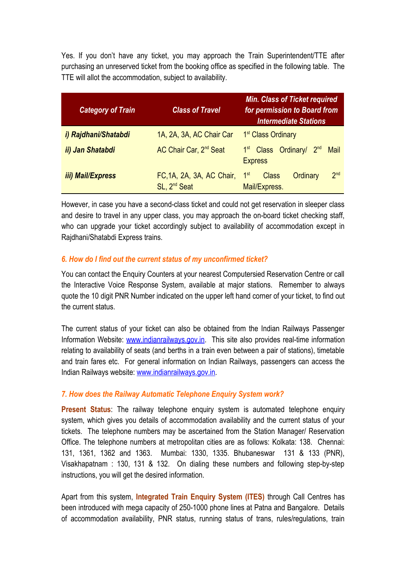Yes. If you don't have any ticket, you may approach the Train Superintendent/TTE after purchasing an unreserved ticket from the booking office as specified in the following table. The TTE will allot the accommodation, subject to availability.

| <b>Category of Train</b> | <b>Class of Travel</b>                                | <b>Min. Class of Ticket required</b><br>for permission to Board from<br><b>Intermediate Stations</b> |  |  |
|--------------------------|-------------------------------------------------------|------------------------------------------------------------------------------------------------------|--|--|
| i) Rajdhani/Shatabdi     | 1A, 2A, 3A, AC Chair Car                              | 1 <sup>st</sup> Class Ordinary                                                                       |  |  |
| ii) Jan Shatabdi         | AC Chair Car, 2 <sup>nd</sup> Seat                    | 1 <sup>st</sup> Class Ordinary/ 2 <sup>nd</sup><br><b>Mail</b><br><b>Express</b>                     |  |  |
| <i>iii)</i> Mail/Express | FC, 1A, 2A, 3A, AC Chair,<br>SL, 2 <sup>nd</sup> Seat | 2 <sub>nd</sub><br>1 <sup>st</sup><br><b>Class</b><br>Ordinary<br>Mail/Express.                      |  |  |

However, in case you have a second-class ticket and could not get reservation in sleeper class and desire to travel in any upper class, you may approach the on-board ticket checking staff, who can upgrade your ticket accordingly subject to availability of accommodation except in Rajdhani/Shatabdi Express trains.

## *6. How do I find out the current status of my unconfirmed ticket?*

You can contact the Enquiry Counters at your nearest Computersied Reservation Centre or call the Interactive Voice Response System, available at major stations. Remember to always quote the 10 digit PNR Number indicated on the upper left hand corner of your ticket, to find out the current status.

The current status of your ticket can also be obtained from the Indian Railways Passenger Information Website: [www.indianrailways.gov.in.](http://www.indianrailways.gov.in/) This site also provides real-time information relating to availability of seats (and berths in a train even between a pair of stations), timetable and train fares etc. For general information on Indian Railways, passengers can access the Indian Railways website: [www.indianrailways.gov.in.](http://www.indianrailways.gov.in/)

# *7. How does the Railway Automatic Telephone Enquiry System work?*

**Present Status**: The railway telephone enquiry system is automated telephone enquiry system, which gives you details of accommodation availability and the current status of your tickets. The telephone numbers may be ascertained from the Station Manager/ Reservation Office. The telephone numbers at metropolitan cities are as follows: Kolkata: 138. Chennai: 131, 1361, 1362 and 1363. Mumbai: 1330, 1335. Bhubaneswar 131 & 133 (PNR), Visakhapatnam : 130, 131 & 132. On dialing these numbers and following step-by-step instructions, you will get the desired information.

Apart from this system, **Integrated Train Enquiry System (ITES)** through Call Centres has been introduced with mega capacity of 250-1000 phone lines at Patna and Bangalore. Details of accommodation availability, PNR status, running status of trans, rules/regulations, train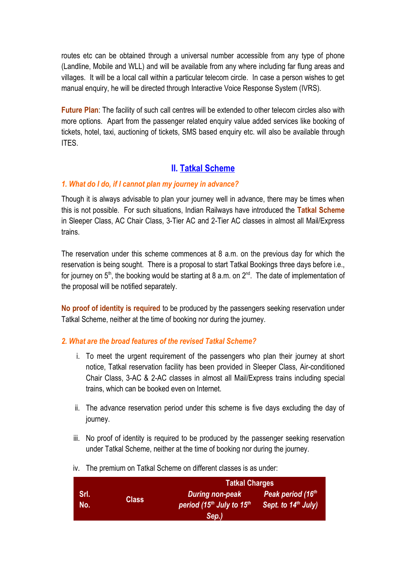routes etc can be obtained through a universal number accessible from any type of phone (Landline, Mobile and WLL) and will be available from any where including far flung areas and villages. It will be a local call within a particular telecom circle. In case a person wishes to get manual enquiry, he will be directed through Interactive Voice Response System (IVRS).

**Future Plan**: The facility of such call centres will be extended to other telecom circles also with more options. Apart from the passenger related enquiry value added services like booking of tickets, hotel, taxi, auctioning of tickets, SMS based enquiry etc. will also be available through ITES.

# **II. Tatkal Scheme**

# *1. What do I do, if I cannot plan my journey in advance?*

Though it is always advisable to plan your journey well in advance, there may be times when this is not possible. For such situations, Indian Railways have introduced the **Tatkal Scheme** in Sleeper Class, AC Chair Class, 3-Tier AC and 2-Tier AC classes in almost all Mail/Express trains.

The reservation under this scheme commences at 8 a.m. on the previous day for which the reservation is being sought. There is a proposal to start Tatkal Bookings three days before i.e., for journey on 5<sup>th</sup>, the booking would be starting at 8 a.m. on 2<sup>nd</sup>. The date of implementation of the proposal will be notified separately.

**No proof of identity is required** to be produced by the passengers seeking reservation under Tatkal Scheme, neither at the time of booking nor during the journey.

# *2. What are the broad features of the revised Tatkal Scheme?*

- i. To meet the urgent requirement of the passengers who plan their journey at short notice, Tatkal reservation facility has been provided in Sleeper Class, Air-conditioned Chair Class, 3-AC & 2-AC classes in almost all Mail/Express trains including special trains, which can be booked even on Internet.
- ii. The advance reservation period under this scheme is five days excluding the day of journey.
- iii. No proof of identity is required to be produced by the passenger seeking reservation under Tatkal Scheme, neither at the time of booking nor during the journey.
- **Srl. No. Class Tatkal Charges** *During non-peak period (15 th July to 15 th Sept. to 14 th July)Sep.) Peak period (16 th*
- iv. The premium on Tatkal Scheme on different classes is as under: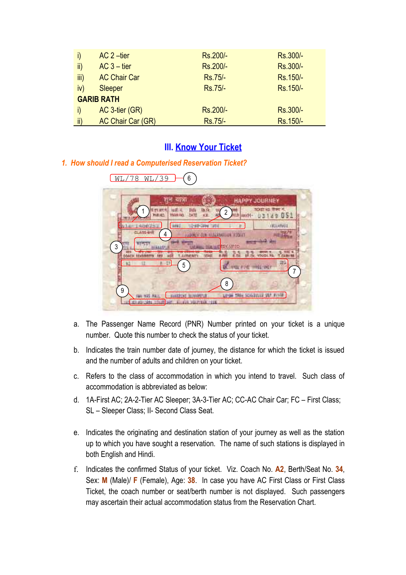|                           | $AC 2$ -tier        | Rs.200/- | Rs.300/- |  |
|---------------------------|---------------------|----------|----------|--|
| $\mathsf{ii}$             | $AC$ 3 – tier       | Rs.200/- | Rs.300/- |  |
| $\overline{\mathsf{iii}}$ | <b>AC Chair Car</b> | Rs.75/-  | Rs.150/- |  |
| iv)                       | <b>Sleeper</b>      | Rs.75/-  | Rs.150/- |  |
| <b>GARIB RATH</b>         |                     |          |          |  |
|                           | AC 3-tier (GR)      | Rs.200/- | Rs.300/- |  |
| $\mathsf{ii}$             | AC Chair Car (GR)   | Rs.75/-  | Rs.150/- |  |

# **III. Know Your Ticket**

# *1. How should I read a Computerised Reservation Ticket?*

|                    | यान्ना                                             |                               | <b>HAPPY JOURNEY</b>    |
|--------------------|----------------------------------------------------|-------------------------------|-------------------------|
|                    | <b>PUBLICS</b><br>VII<br>TYLMA FA'S<br><b>SWTF</b> | $\overline{c}$                | <b>NOVET KO</b><br>×    |
|                    | 329.<br>SE-18M                                     |                               | (EDL49a0)               |
| <b>CLASS HHI</b>   | 4                                                  | LAANGTAUK BIDEET              |                         |
| अल्ल<br>3<br>EDIEN | <b>CONT</b><br><b>T. ASTRONOMY</b>                 | <b>ESV.UP TO</b><br>n i       | NOI IS<br>CABIR         |
|                    | t<br>5                                             | THE TIMES!<br>$+11$           | 393<br><b>TRET</b><br>7 |
|                    |                                                    | 8                             |                         |
| 9                  |                                                    | <b>1984 SCHILLER</b><br>LE-SH |                         |

- a. The Passenger Name Record (PNR) Number printed on your ticket is a unique number. Quote this number to check the status of your ticket.
- b. Indicates the train number date of journey, the distance for which the ticket is issued and the number of adults and children on your ticket.
- c. Refers to the class of accommodation in which you intend to travel. Such class of accommodation is abbreviated as below:
- d. 1A-First AC; 2A-2-Tier AC Sleeper; 3A-3-Tier AC; CC-AC Chair Car; FC First Class; SL – Sleeper Class; II- Second Class Seat.
- e. Indicates the originating and destination station of your journey as well as the station up to which you have sought a reservation. The name of such stations is displayed in both English and Hindi.
- f. Indicates the confirmed Status of your ticket. Viz. Coach No. **A2**, Berth/Seat No. **34**, Sex: **M** (Male)/ **F** (Female), Age: **38**. In case you have AC First Class or First Class Ticket, the coach number or seat/berth number is not displayed. Such passengers may ascertain their actual accommodation status from the Reservation Chart.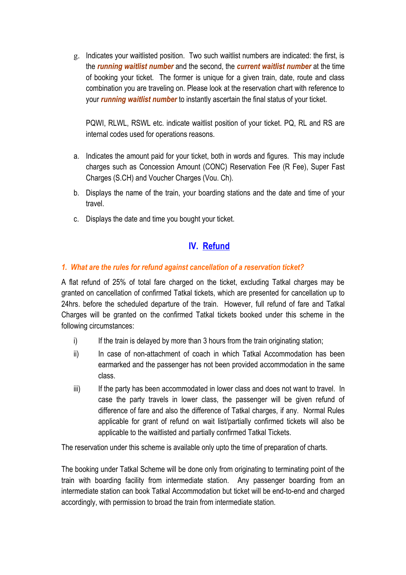g. Indicates your waitlisted position. Two such waitlist numbers are indicated: the first, is the *running waitlist number* and the second, the *current waitlist number* at the time of booking your ticket. The former is unique for a given train, date, route and class combination you are traveling on. Please look at the reservation chart with reference to your *running waitlist number* to instantly ascertain the final status of your ticket.

PQWI, RLWL, RSWL etc. indicate waitlist position of your ticket. PQ, RL and RS are internal codes used for operations reasons.

- a. Indicates the amount paid for your ticket, both in words and figures. This may include charges such as Concession Amount (CONC) Reservation Fee (R Fee), Super Fast Charges (S.CH) and Voucher Charges (Vou. Ch).
- b. Displays the name of the train, your boarding stations and the date and time of your travel.
- c. Displays the date and time you bought your ticket.

# **IV. Refund**

# *1. What are the rules for refund against cancellation of a reservation ticket?*

A flat refund of 25% of total fare charged on the ticket, excluding Tatkal charges may be granted on cancellation of confirmed Tatkal tickets, which are presented for cancellation up to 24hrs. before the scheduled departure of the train. However, full refund of fare and Tatkal Charges will be granted on the confirmed Tatkal tickets booked under this scheme in the following circumstances:

- i) If the train is delayed by more than 3 hours from the train originating station;
- ii) In case of non-attachment of coach in which Tatkal Accommodation has been earmarked and the passenger has not been provided accommodation in the same class.
- iii) If the party has been accommodated in lower class and does not want to travel. In case the party travels in lower class, the passenger will be given refund of difference of fare and also the difference of Tatkal charges, if any. Normal Rules applicable for grant of refund on wait list/partially confirmed tickets will also be applicable to the waitlisted and partially confirmed Tatkal Tickets.

The reservation under this scheme is available only upto the time of preparation of charts.

The booking under Tatkal Scheme will be done only from originating to terminating point of the train with boarding facility from intermediate station. Any passenger boarding from an intermediate station can book Tatkal Accommodation but ticket will be end-to-end and charged accordingly, with permission to broad the train from intermediate station.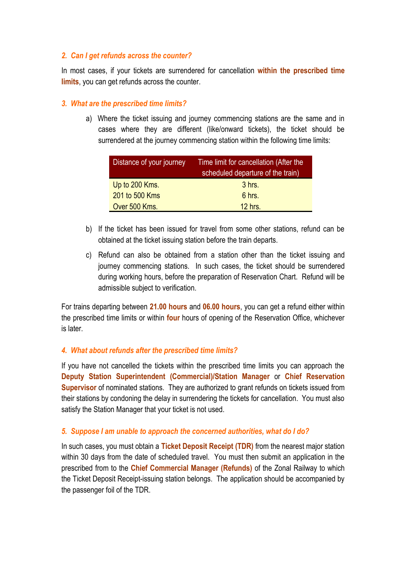## *2. Can I get refunds across the counter?*

In most cases, if your tickets are surrendered for cancellation **within the prescribed time limits**, you can get refunds across the counter.

### *3. What are the prescribed time limits?*

a) Where the ticket issuing and journey commencing stations are the same and in cases where they are different (like/onward tickets), the ticket should be surrendered at the journey commencing station within the following time limits:

| Distance of your journey | Time limit for cancellation (After the<br>scheduled departure of the train) |  |
|--------------------------|-----------------------------------------------------------------------------|--|
| Up to 200 Kms.           | 3 hrs.                                                                      |  |
| 201 to 500 Kms           | 6 hrs.                                                                      |  |
| Over 500 Kms.            | $12$ hrs.                                                                   |  |

- b) If the ticket has been issued for travel from some other stations, refund can be obtained at the ticket issuing station before the train departs.
- c) Refund can also be obtained from a station other than the ticket issuing and journey commencing stations. In such cases, the ticket should be surrendered during working hours, before the preparation of Reservation Chart. Refund will be admissible subject to verification.

For trains departing between **21.00 hours** and **06.00 hours**, you can get a refund either within the prescribed time limits or within **four** hours of opening of the Reservation Office, whichever is later.

## *4. What about refunds after the prescribed time limits?*

If you have not cancelled the tickets within the prescribed time limits you can approach the **Deputy Station Superintendent (Commercial)/Station Manager** or **Chief Reservation Supervisor** of nominated stations. They are authorized to grant refunds on tickets issued from their stations by condoning the delay in surrendering the tickets for cancellation. You must also satisfy the Station Manager that your ticket is not used.

## *5. Suppose I am unable to approach the concerned authorities, what do I do?*

In such cases, you must obtain a **Ticket Deposit Receipt (TDR)** from the nearest major station within 30 days from the date of scheduled travel. You must then submit an application in the prescribed from to the **Chief Commercial Manager (Refunds)** of the Zonal Railway to which the Ticket Deposit Receipt-issuing station belongs. The application should be accompanied by the passenger foil of the TDR.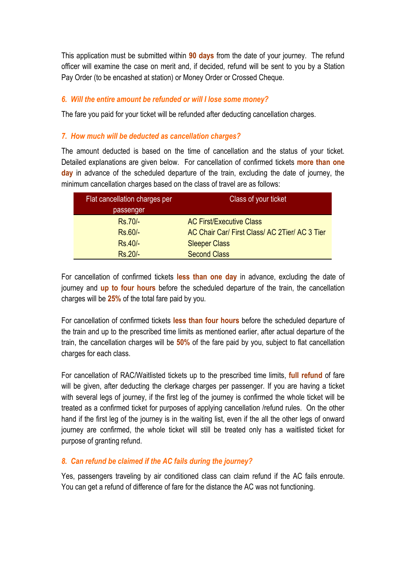This application must be submitted within **90 days** from the date of your journey. The refund officer will examine the case on merit and, if decided, refund will be sent to you by a Station Pay Order (to be encashed at station) or Money Order or Crossed Cheque.

## *6. Will the entire amount be refunded or will I lose some money?*

The fare you paid for your ticket will be refunded after deducting cancellation charges.

## *7. How much will be deducted as cancellation charges?*

The amount deducted is based on the time of cancellation and the status of your ticket. Detailed explanations are given below. For cancellation of confirmed tickets **more than one day** in advance of the scheduled departure of the train, excluding the date of journey, the minimum cancellation charges based on the class of travel are as follows:

| Flat cancellation charges per | Class of your ticket                           |  |
|-------------------------------|------------------------------------------------|--|
| passenger                     |                                                |  |
| Rs.70/-                       | <b>AC First/Executive Class</b>                |  |
| $Rs.60/-$                     | AC Chair Car/ First Class/ AC 2Tier/ AC 3 Tier |  |
| $Rs.40/-$                     | <b>Sleeper Class</b>                           |  |
| $Rs.20/-$                     | <b>Second Class</b>                            |  |

For cancellation of confirmed tickets **less than one day** in advance, excluding the date of journey and **up to four hours** before the scheduled departure of the train, the cancellation charges will be **25%** of the total fare paid by you.

For cancellation of confirmed tickets **less than four hours** before the scheduled departure of the train and up to the prescribed time limits as mentioned earlier, after actual departure of the train, the cancellation charges will be **50%** of the fare paid by you, subject to flat cancellation charges for each class.

For cancellation of RAC/Waitlisted tickets up to the prescribed time limits, **full refund** of fare will be given, after deducting the clerkage charges per passenger. If you are having a ticket with several legs of journey, if the first leg of the journey is confirmed the whole ticket will be treated as a confirmed ticket for purposes of applying cancellation /refund rules. On the other hand if the first leg of the journey is in the waiting list, even if the all the other legs of onward journey are confirmed, the whole ticket will still be treated only has a waitlisted ticket for purpose of granting refund.

## *8. Can refund be claimed if the AC fails during the journey?*

Yes, passengers traveling by air conditioned class can claim refund if the AC fails enroute. You can get a refund of difference of fare for the distance the AC was not functioning.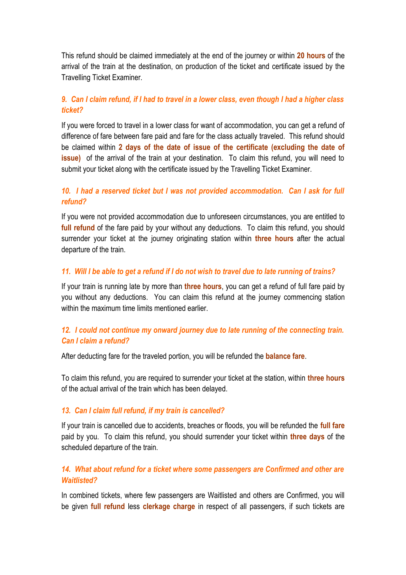This refund should be claimed immediately at the end of the journey or within **20 hours** of the arrival of the train at the destination, on production of the ticket and certificate issued by the Travelling Ticket Examiner.

# 9. Can I claim refund, if I had to travel in a lower class, even though I had a higher class *ticket?*

If you were forced to travel in a lower class for want of accommodation, you can get a refund of difference of fare between fare paid and fare for the class actually traveled. This refund should be claimed within **2 days of the date of issue of the certificate (excluding the date of issue)** of the arrival of the train at your destination. To claim this refund, you will need to submit your ticket along with the certificate issued by the Travelling Ticket Examiner.

# *10. I had a reserved ticket but I was not provided accommodation. Can I ask for full refund?*

If you were not provided accommodation due to unforeseen circumstances, you are entitled to **full refund** of the fare paid by your without any deductions. To claim this refund, you should surrender your ticket at the journey originating station within **three hours** after the actual departure of the train.

## 11. Will I be able to get a refund if I do not wish to travel due to late running of trains?

If your train is running late by more than **three hours**, you can get a refund of full fare paid by you without any deductions. You can claim this refund at the journey commencing station within the maximum time limits mentioned earlier.

# *12. I could not continue my onward journey due to late running of the connecting train. Can I claim a refund?*

After deducting fare for the traveled portion, you will be refunded the **balance fare**.

To claim this refund, you are required to surrender your ticket at the station, within **three hours** of the actual arrival of the train which has been delayed.

## *13. Can I claim full refund, if my train is cancelled?*

If your train is cancelled due to accidents, breaches or floods, you will be refunded the **full fare** paid by you. To claim this refund, you should surrender your ticket within **three days** of the scheduled departure of the train.

# *14. What about refund for a ticket where some passengers are Confirmed and other are Waitlisted?*

In combined tickets, where few passengers are Waitlisted and others are Confirmed, you will be given **full refund** less **clerkage charge** in respect of all passengers, if such tickets are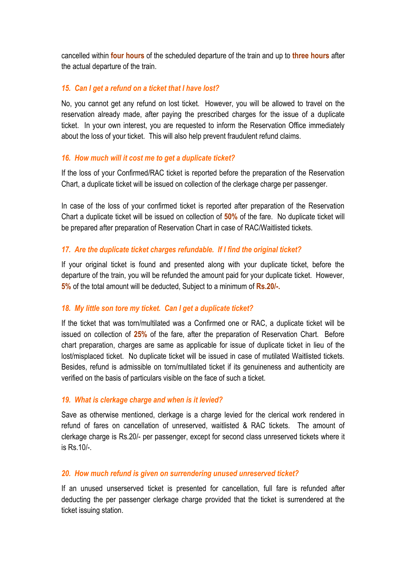cancelled within **four hours** of the scheduled departure of the train and up to **three hours** after the actual departure of the train.

## *15. Can I get a refund on a ticket that I have lost?*

No, you cannot get any refund on lost ticket. However, you will be allowed to travel on the reservation already made, after paying the prescribed charges for the issue of a duplicate ticket. In your own interest, you are requested to inform the Reservation Office immediately about the loss of your ticket. This will also help prevent fraudulent refund claims.

## *16. How much will it cost me to get a duplicate ticket?*

If the loss of your Confirmed/RAC ticket is reported before the preparation of the Reservation Chart, a duplicate ticket will be issued on collection of the clerkage charge per passenger.

In case of the loss of your confirmed ticket is reported after preparation of the Reservation Chart a duplicate ticket will be issued on collection of **50%** of the fare. No duplicate ticket will be prepared after preparation of Reservation Chart in case of RAC/Waitlisted tickets.

# *17. Are the duplicate ticket charges refundable. If I find the original ticket?*

If your original ticket is found and presented along with your duplicate ticket, before the departure of the train, you will be refunded the amount paid for your duplicate ticket. However, **5%** of the total amount will be deducted, Subject to a minimum of **Rs.20/-.**

# *18. My little son tore my ticket. Can I get a duplicate ticket?*

If the ticket that was torn/multilated was a Confirmed one or RAC, a duplicate ticket will be issued on collection of **25%** of the fare, after the preparation of Reservation Chart. Before chart preparation, charges are same as applicable for issue of duplicate ticket in lieu of the lost/misplaced ticket. No duplicate ticket will be issued in case of mutilated Waitlisted tickets. Besides, refund is admissible on torn/multilated ticket if its genuineness and authenticity are verified on the basis of particulars visible on the face of such a ticket.

## *19. What is clerkage charge and when is it levied?*

Save as otherwise mentioned, clerkage is a charge levied for the clerical work rendered in refund of fares on cancellation of unreserved, waitlisted & RAC tickets. The amount of clerkage charge is Rs.20/- per passenger, except for second class unreserved tickets where it is Rs.10/-.

## *20. How much refund is given on surrendering unused unreserved ticket?*

If an unused unserserved ticket is presented for cancellation, full fare is refunded after deducting the per passenger clerkage charge provided that the ticket is surrendered at the ticket issuing station.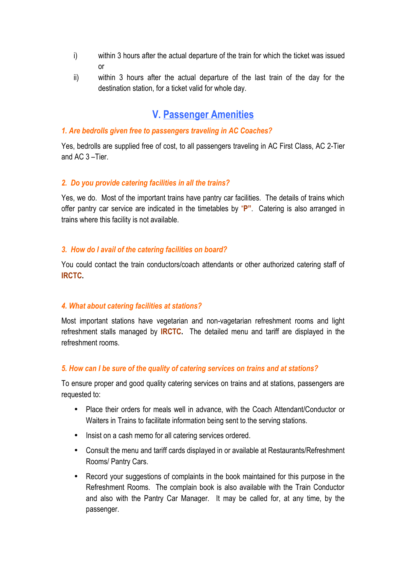- i) within 3 hours after the actual departure of the train for which the ticket was issued or
- ii) within 3 hours after the actual departure of the last train of the day for the destination station, for a ticket valid for whole day.

# **V. Passenger Amenities**

#### *1. Are bedrolls given free to passengers traveling in AC Coaches?*

Yes, bedrolls are supplied free of cost, to all passengers traveling in AC First Class, AC 2-Tier and AC 3 –Tier.

#### *2. Do you provide catering facilities in all the trains?*

Yes, we do. Most of the important trains have pantry car facilities. The details of trains which offer pantry car service are indicated in the timetables by "**P"**. Catering is also arranged in trains where this facility is not available.

#### *3. How do I avail of the catering facilities on board?*

You could contact the train conductors/coach attendants or other authorized catering staff of **IRCTC.**

#### *4. What about catering facilities at stations?*

Most important stations have vegetarian and non-vagetarian refreshment rooms and light refreshment stalls managed by **IRCTC.** The detailed menu and tariff are displayed in the refreshment rooms.

#### *5. How can I be sure of the quality of catering services on trains and at stations?*

To ensure proper and good quality catering services on trains and at stations, passengers are requested to:

- Place their orders for meals well in advance, with the Coach Attendant/Conductor or Waiters in Trains to facilitate information being sent to the serving stations.
- Insist on a cash memo for all catering services ordered.
- Consult the menu and tariff cards displayed in or available at Restaurants/Refreshment Rooms/ Pantry Cars.
- Record your suggestions of complaints in the book maintained for this purpose in the Refreshment Rooms. The complain book is also available with the Train Conductor and also with the Pantry Car Manager. It may be called for, at any time, by the passenger.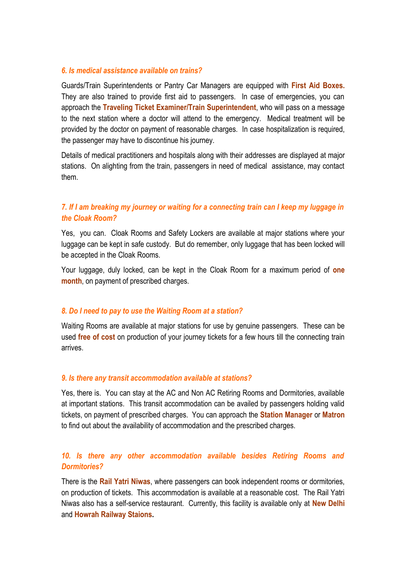#### *6. Is medical assistance available on trains?*

Guards/Train Superintendents or Pantry Car Managers are equipped with **First Aid Boxes.** They are also trained to provide first aid to passengers. In case of emergencies, you can approach the **Traveling Ticket Examiner/Train Superintendent**, who will pass on a message to the next station where a doctor will attend to the emergency. Medical treatment will be provided by the doctor on payment of reasonable charges. In case hospitalization is required, the passenger may have to discontinue his journey.

Details of medical practitioners and hospitals along with their addresses are displayed at major stations. On alighting from the train, passengers in need of medical assistance, may contact them.

# *7. If I am breaking my journey or waiting for a connecting train can I keep my luggage in the Cloak Room?*

Yes, you can. Cloak Rooms and Safety Lockers are available at major stations where your luggage can be kept in safe custody. But do remember, only luggage that has been locked will be accepted in the Cloak Rooms.

Your luggage, duly locked, can be kept in the Cloak Room for a maximum period of **one month**, on payment of prescribed charges.

## *8. Do I need to pay to use the Waiting Room at a station?*

Waiting Rooms are available at major stations for use by genuine passengers. These can be used **free of cost** on production of your journey tickets for a few hours till the connecting train arrives.

#### *9. Is there any transit accommodation available at stations?*

Yes, there is. You can stay at the AC and Non AC Retiring Rooms and Dormitories, available at important stations. This transit accommodation can be availed by passengers holding valid tickets, on payment of prescribed charges. You can approach the **Station Manager** or **Matron** to find out about the availability of accommodation and the prescribed charges.

# *10. Is there any other accommodation available besides Retiring Rooms and Dormitories?*

There is the **Rail Yatri Niwas**, where passengers can book independent rooms or dormitories, on production of tickets. This accommodation is available at a reasonable cost. The Rail Yatri Niwas also has a self-service restaurant. Currently, this facility is available only at **New Delhi** and **Howrah Railway Staions.**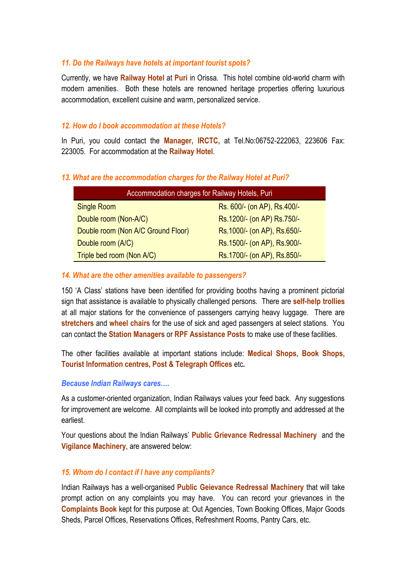#### *11. Do the Railways have hotels at important tourist spots?*

Currently, we have **Railway Hotel** at **Puri** in Orissa. This hotel combine old-world charm with modern amenities. Both these hotels are renowned heritage properties offering luxurious accommodation, excellent cuisine and warm, personalized service.

#### *12. How do I book accommodation at these Hotels?*

In Puri, you could contact the **Manager, IRCTC,** at Tel.No:06752-222063, 223606 Fax: 223005. For accommodation at the **Railway Hotel**.

#### *13. What are the accommodation charges for the Railway Hotel at Puri?*

| Accommodation charges for Railway Hotels, Puri |                              |  |  |
|------------------------------------------------|------------------------------|--|--|
| <b>Single Room</b>                             | Rs. 600/- (on AP), Rs. 400/- |  |  |
| Double room (Non-A/C)                          | Rs.1200/- (on AP) Rs.750/-   |  |  |
| Double room (Non A/C Ground Floor)             | Rs.1000/- (on AP), Rs.650/-  |  |  |
| Double room (A/C)                              | Rs.1500/- (on AP), Rs.900/-  |  |  |
| Triple bed room (Non A/C)                      | Rs.1700/- (on AP), Rs.850/-  |  |  |

#### *14. What are the other amenities available to passengers?*

150 'A Class' stations have been identified for providing booths having a prominent pictorial sign that assistance is available to physically challenged persons. There are **self-help trollies** at all major stations for the convenience of passengers carrying heavy luggage. There are **stretchers** and **wheel chairs** for the use of sick and aged passengers at select stations. You can contact the **Station Managers** or **RPF Assistance Posts** to make use of these facilities.

The other facilities available at important stations include: **Medical Shops, Book Shops, Tourist Information centres, Post & Telegraph Offices** etc**.**

#### *Because Indian Railways cares….*

As a customer-oriented organization, Indian Railways values your feed back. Any suggestions for improvement are welcome. All complaints will be looked into promptly and addressed at the earliest.

Your questions about the Indian Railways' **Public Grievance Redressal Machinery** and the **Vigilance Machinery**, are answered below:

#### *15. Whom do I contact if I have any compliants?*

Indian Railways has a well-organised **Public Geievance Redressal Machinery** that will take prompt action on any complaints you may have. You can record your grievances in the **Complaints Book** kept for this purpose at: Out Agencies, Town Booking Offices, Major Goods Sheds, Parcel Offices, Reservations Offices, Refreshment Rooms, Pantry Cars, etc.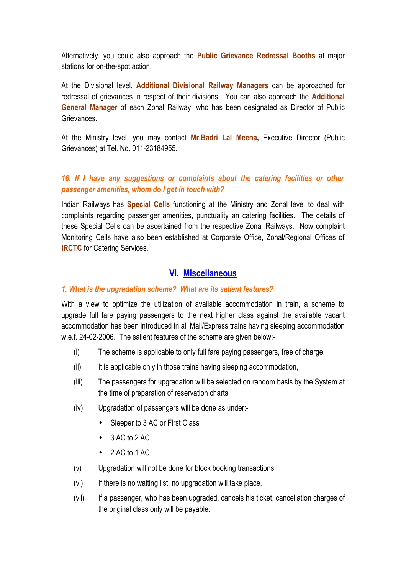Alternatively, you could also approach the **Public Grievance Redressal Booths** at major stations for on-the-spot action.

At the Divisional level, **Additional Divisional Railway Managers** can be approached for redressal of grievances in respect of their divisions. You can also approach the **Additional General Manager** of each Zonal Railway, who has been designated as Director of Public Grievances.

At the Ministry level, you may contact **Mr.Badri Lal Meena,** Executive Director (Public Grievances) at Tel. No. 011-23184955.

# *16. If I have any suggestions or complaints about the catering facilities or other passenger amenities, whom do I get in touch with?*

Indian Railways has **Special Cells** functioning at the Ministry and Zonal level to deal with complaints regarding passenger amenities, punctuality an catering facilities. The details of these Special Cells can be ascertained from the respective Zonal Railways. Now complaint Monitoring Cells have also been established at Corporate Office, Zonal/Regional Offices of **IRCTC** for Catering Services.

# **VI. Miscellaneous**

### *1. What is the upgradation scheme? What are its salient features?*

With a view to optimize the utilization of available accommodation in train, a scheme to upgrade full fare paying passengers to the next higher class against the available vacant accommodation has been introduced in all Mail/Express trains having sleeping accommodation w.e.f. 24-02-2006. The salient features of the scheme are given below:-

- (i) The scheme is applicable to only full fare paying passengers, free of charge.
- (ii) It is applicable only in those trains having sleeping accommodation,
- (iii) The passengers for upgradation will be selected on random basis by the System at the time of preparation of reservation charts,
- (iv) Upgradation of passengers will be done as under:-
	- Sleeper to 3 AC or First Class
	- $\bullet$  3 AC to 2 AC
	- $\bullet$  2 AC to 1 AC
- (v) Upgradation will not be done for block booking transactions,
- (vi) If there is no waiting list, no upgradation will take place,
- (vii) If a passenger, who has been upgraded, cancels his ticket, cancellation charges of the original class only will be payable.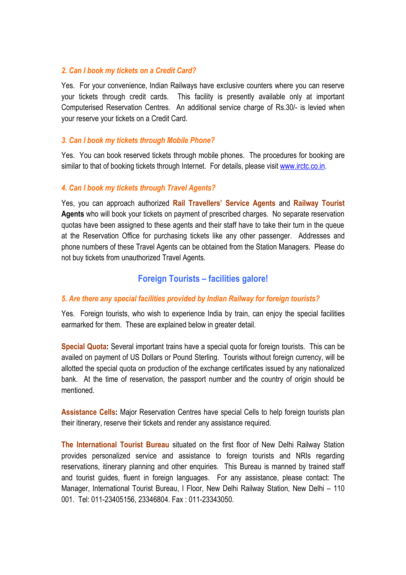## *2. Can I book my tickets on a Credit Card?*

Yes. For your convenience, Indian Railways have exclusive counters where you can reserve your tickets through credit cards. This facility is presently available only at important Computerised Reservation Centres. An additional service charge of Rs.30/- is levied when your reserve your tickets on a Credit Card.

# *3. Can I book my tickets through Mobile Phone?*

Yes. You can book reserved tickets through mobile phones. The procedures for booking are similar to that of booking tickets through Internet. For details, please visit [www.irctc.co.in.](http://www.irctc.co.in/)

# *4. Can I book my tickets through Travel Agents?*

Yes, you can approach authorized **Rail Travellers' Service Agents** and **Railway Tourist Agents** who will book your tickets on payment of prescribed charges. No separate reservation quotas have been assigned to these agents and their staff have to take their turn in the queue at the Reservation Office for purchasing tickets like any other passenger. Addresses and phone numbers of these Travel Agents can be obtained from the Station Managers. Please do not buy tickets from unauthorized Travel Agents.

# **Foreign Tourists – facilities galore!**

## *5. Are there any special facilities provided by Indian Railway for foreign tourists?*

Yes. Foreign tourists, who wish to experience India by train, can enjoy the special facilities earmarked for them. These are explained below in greater detail.

**Special Quota:** Several important trains have a special quota for foreign tourists. This can be availed on payment of US Dollars or Pound Sterling. Tourists without foreign currency, will be allotted the special quota on production of the exchange certificates issued by any nationalized bank. At the time of reservation, the passport number and the country of origin should be mentioned.

**Assistance Cells:** Major Reservation Centres have special Cells to help foreign tourists plan their itinerary, reserve their tickets and render any assistance required.

**The International Tourist Bureau** situated on the first floor of New Delhi Railway Station provides personalized service and assistance to foreign tourists and NRIs regarding reservations, itinerary planning and other enquiries. This Bureau is manned by trained staff and tourist guides, fluent in foreign languages. For any assistance, please contact: The Manager, International Tourist Bureau, I Floor, New Delhi Railway Station, New Delhi – 110 001. Tel: 011-23405156, 23346804. Fax : 011-23343050.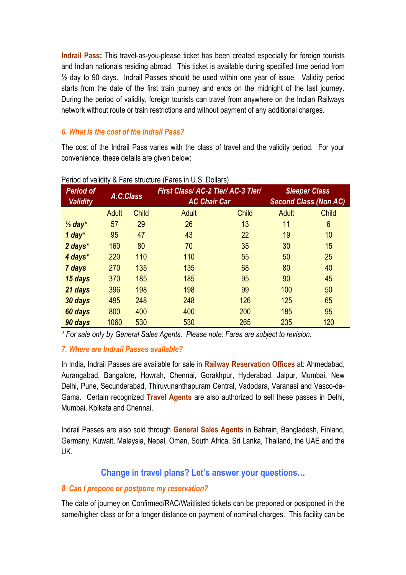**Indrail Pass:** This travel-as-you-please ticket has been created especially for foreign tourists and Indian nationals residing abroad. This ticket is available during specified time period from ½ day to 90 days. Indrail Passes should be used within one year of issue. Validity period starts from the date of the first train journey and ends on the midnight of the last journey. During the period of validity, foreign tourists can travel from anywhere on the Indian Railways network without route or train restrictions and without payment of any additional charges.

# *6. What is the cost of the Indrail Pass?*

The cost of the Indrail Pass varies with the class of travel and the validity period. For your convenience, these details are given below:

| <b>Period of</b><br><b>Validity</b> | A.C.Class    |              | <u><b>x</b></u> 1 and othereind in ande in O.O. Dollard<br>First Class/AC-2 Tier/AC-3 Tier/<br><b>AC Chair Car</b> |              | <b>Sleeper Class</b><br><b>Second Class (Non AC)</b> |              |
|-------------------------------------|--------------|--------------|--------------------------------------------------------------------------------------------------------------------|--------------|------------------------------------------------------|--------------|
|                                     | <b>Adult</b> | <b>Child</b> | <b>Adult</b>                                                                                                       | <b>Child</b> | <b>Adult</b>                                         | <b>Child</b> |
| $\frac{1}{2}$ day <sup>*</sup>      | 57           | 29           | 26                                                                                                                 | 13           | 11                                                   | 6            |
| $1$ day <sup>*</sup>                | 95           | 47           | 43                                                                                                                 | 22           | 19                                                   | 10           |
| 2 days*                             | 160          | 80           | 70                                                                                                                 | 35           | 30                                                   | 15           |
| 4 days*                             | 220          | 110          | 110                                                                                                                | 55           | 50                                                   | 25           |
| 7 days                              | 270          | 135          | 135                                                                                                                | 68           | 80                                                   | 40           |
| 15 days                             | 370          | 185          | 185                                                                                                                | 95           | 90                                                   | 45           |
| 21 days                             | 396          | 198          | 198                                                                                                                | 99           | 100                                                  | 50           |
| 30 days                             | 495          | 248          | 248                                                                                                                | 126          | 125                                                  | 65           |
| 60 days                             | 800          | 400          | 400                                                                                                                | 200          | 185                                                  | 95           |
| 90 days                             | 1060         | 530          | 530                                                                                                                | 265          | 235                                                  | 120          |

#### Period of validity & Fare structure (Fares in U.S. Dollars)

*\* For sale only by General Sales Agents. Please note: Fares are subject to revision.*

## *7. Where are Indrail Passes available?*

In India, Indrail Passes are available for sale in **Railway Reservation Offices** at: Ahmedabad, Aurangabad, Bangalore, Howrah, Chennai, Gorakhpur, Hyderabad, Jaipur, Mumbai, New Delhi, Pune, Secunderabad, Thiruvunanthapuram Central, Vadodara, Varanasi and Vasco-da-Gama. Certain recognized **Travel Agents** are also authorized to sell these passes in Delhi, Mumbai, Kolkata and Chennai.

Indrail Passes are also sold through **General Sales Agents** in Bahrain, Bangladesh, Finland, Germany, Kuwait, Malaysia, Nepal, Oman, South Africa, Sri Lanka, Thailand, the UAE and the UK.

# **Change in travel plans? Let's answer your questions…**

## *8. Can I prepone or postpone my reservation?*

The date of journey on Confirmed/RAC/Waitlisted tickets can be preponed or postponed in the same/higher class or for a longer distance on payment of nominal charges. This facility can be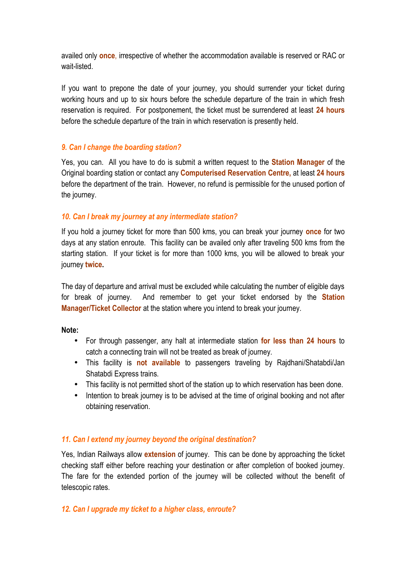availed only **once**, irrespective of whether the accommodation available is reserved or RAC or wait-listed.

If you want to prepone the date of your journey, you should surrender your ticket during working hours and up to six hours before the schedule departure of the train in which fresh reservation is required. For postponement, the ticket must be surrendered at least **24 hours** before the schedule departure of the train in which reservation is presently held.

# *9. Can I change the boarding station?*

Yes, you can. All you have to do is submit a written request to the **Station Manager** of the Original boarding station or contact any **Computerised Reservation Centre,** at least **24 hours** before the department of the train. However, no refund is permissible for the unused portion of the journey.

## *10. Can I break my journey at any intermediate station?*

If you hold a journey ticket for more than 500 kms, you can break your journey **once** for two days at any station enroute. This facility can be availed only after traveling 500 kms from the starting station. If your ticket is for more than 1000 kms, you will be allowed to break your journey **twice.**

The day of departure and arrival must be excluded while calculating the number of eligible days for break of journey. And remember to get your ticket endorsed by the **Station Manager/Ticket Collector** at the station where you intend to break your journey.

**Note:**

- For through passenger, any halt at intermediate station **for less than 24 hours** to catch a connecting train will not be treated as break of journey.
- This facility is **not available** to passengers traveling by Rajdhani/Shatabdi/Jan Shatabdi Express trains.
- This facility is not permitted short of the station up to which reservation has been done.
- Intention to break journey is to be advised at the time of original booking and not after obtaining reservation.

# *11. Can I extend my journey beyond the original destination?*

Yes, Indian Railways allow **extension** of journey. This can be done by approaching the ticket checking staff either before reaching your destination or after completion of booked journey. The fare for the extended portion of the journey will be collected without the benefit of telescopic rates.

# *12. Can I upgrade my ticket to a higher class, enroute?*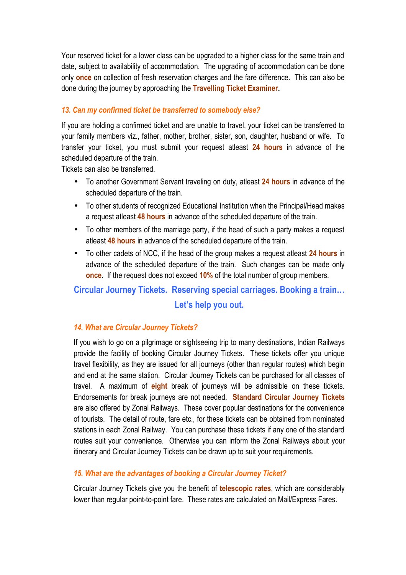Your reserved ticket for a lower class can be upgraded to a higher class for the same train and date, subject to availability of accommodation. The upgrading of accommodation can be done only **once** on collection of fresh reservation charges and the fare difference. This can also be done during the journey by approaching the **Travelling Ticket Examiner.**

# *13. Can my confirmed ticket be transferred to somebody else?*

If you are holding a confirmed ticket and are unable to travel, your ticket can be transferred to your family members viz., father, mother, brother, sister, son, daughter, husband or wife. To transfer your ticket, you must submit your request atleast **24 hours** in advance of the scheduled departure of the train.

Tickets can also be transferred.

- To another Government Servant traveling on duty, atleast **24 hours** in advance of the scheduled departure of the train.
- To other students of recognized Educational Institution when the Principal/Head makes a request atleast **48 hours** in advance of the scheduled departure of the train.
- To other members of the marriage party, if the head of such a party makes a request atleast **48 hours** in advance of the scheduled departure of the train.
- To other cadets of NCC, if the head of the group makes a request atleast **24 hours** in advance of the scheduled departure of the train. Such changes can be made only **once.** If the request does not exceed **10%** of the total number of group members.

# **Circular Journey Tickets. Reserving special carriages. Booking a train… Let's help you out.**

# *14. What are Circular Journey Tickets?*

If you wish to go on a pilgrimage or sightseeing trip to many destinations, Indian Railways provide the facility of booking Circular Journey Tickets. These tickets offer you unique travel flexibility, as they are issued for all journeys (other than regular routes) which begin and end at the same station. Circular Journey Tickets can be purchased for all classes of travel. A maximum of **eight** break of journeys will be admissible on these tickets. Endorsements for break journeys are not needed. **Standard Circular Journey Tickets** are also offered by Zonal Railways. These cover popular destinations for the convenience of tourists. The detail of route, fare etc., for these tickets can be obtained from nominated stations in each Zonal Railway. You can purchase these tickets if any one of the standard routes suit your convenience. Otherwise you can inform the Zonal Railways about your itinerary and Circular Journey Tickets can be drawn up to suit your requirements.

# *15. What are the advantages of booking a Circular Journey Ticket?*

Circular Journey Tickets give you the benefit of **telescopic rates**, which are considerably lower than regular point-to-point fare. These rates are calculated on Mail/Express Fares.